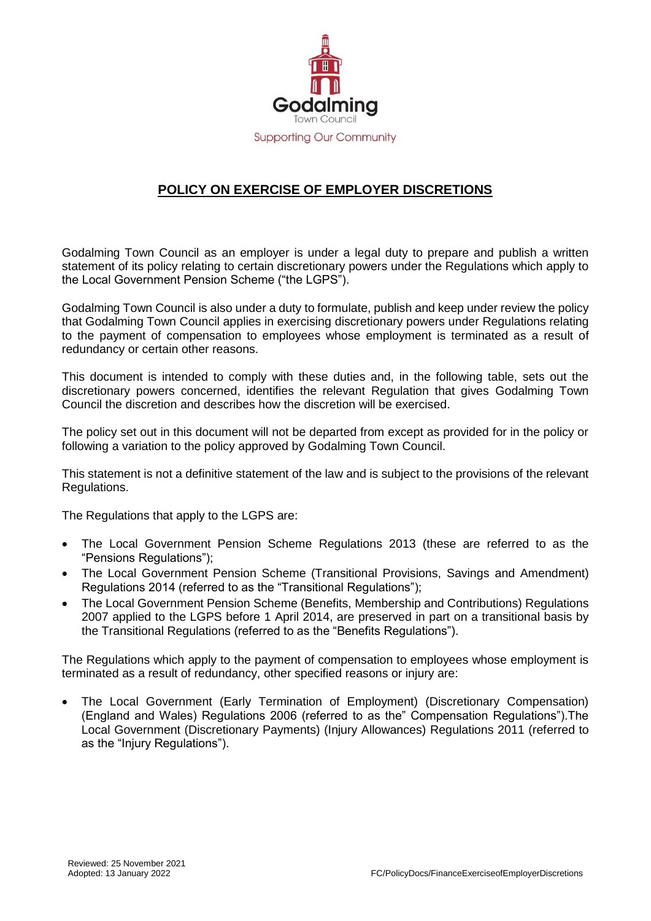

## **POLICY ON EXERCISE OF EMPLOYER DISCRETIONS**

Godalming Town Council as an employer is under a legal duty to prepare and publish a written statement of its policy relating to certain discretionary powers under the Regulations which apply to the Local Government Pension Scheme ("the LGPS").

Godalming Town Council is also under a duty to formulate, publish and keep under review the policy that Godalming Town Council applies in exercising discretionary powers under Regulations relating to the payment of compensation to employees whose employment is terminated as a result of redundancy or certain other reasons.

This document is intended to comply with these duties and, in the following table, sets out the discretionary powers concerned, identifies the relevant Regulation that gives Godalming Town Council the discretion and describes how the discretion will be exercised.

The policy set out in this document will not be departed from except as provided for in the policy or following a variation to the policy approved by Godalming Town Council.

This statement is not a definitive statement of the law and is subject to the provisions of the relevant Regulations.

The Regulations that apply to the LGPS are:

- The Local Government Pension Scheme Regulations 2013 (these are referred to as the "Pensions Regulations");
- The Local Government Pension Scheme (Transitional Provisions, Savings and Amendment) Regulations 2014 (referred to as the "Transitional Regulations");
- The Local Government Pension Scheme (Benefits, Membership and Contributions) Regulations 2007 applied to the LGPS before 1 April 2014, are preserved in part on a transitional basis by the Transitional Regulations (referred to as the "Benefits Regulations").

The Regulations which apply to the payment of compensation to employees whose employment is terminated as a result of redundancy, other specified reasons or injury are:

 The Local Government (Early Termination of Employment) (Discretionary Compensation) (England and Wales) Regulations 2006 (referred to as the" Compensation Regulations").The Local Government (Discretionary Payments) (Injury Allowances) Regulations 2011 (referred to as the "Injury Regulations").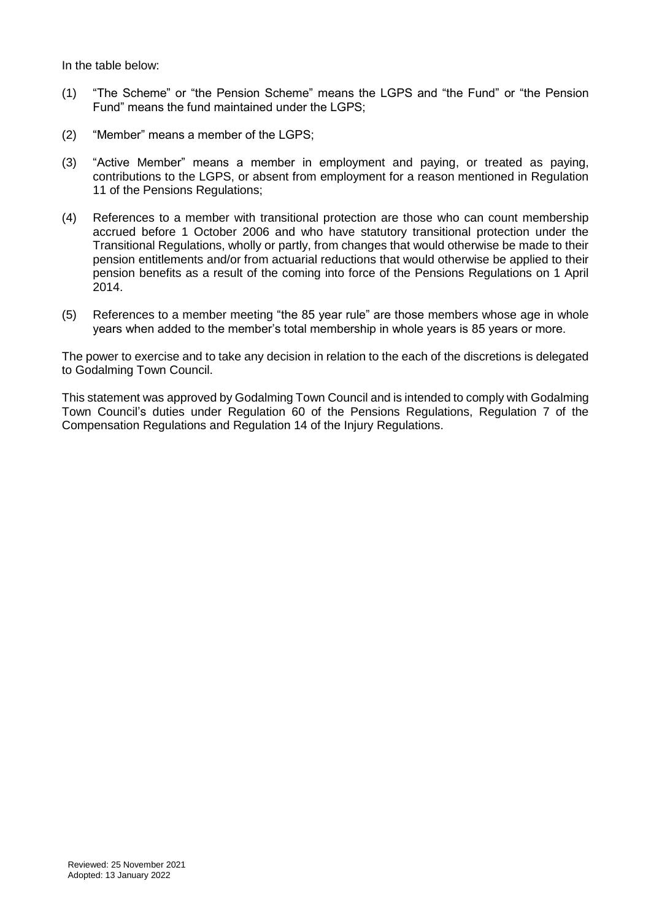In the table below:

- (1) "The Scheme" or "the Pension Scheme" means the LGPS and "the Fund" or "the Pension Fund" means the fund maintained under the LGPS;
- (2) "Member" means a member of the LGPS;
- (3) "Active Member" means a member in employment and paying, or treated as paying, contributions to the LGPS, or absent from employment for a reason mentioned in Regulation 11 of the Pensions Regulations;
- (4) References to a member with transitional protection are those who can count membership accrued before 1 October 2006 and who have statutory transitional protection under the Transitional Regulations, wholly or partly, from changes that would otherwise be made to their pension entitlements and/or from actuarial reductions that would otherwise be applied to their pension benefits as a result of the coming into force of the Pensions Regulations on 1 April 2014.
- (5) References to a member meeting "the 85 year rule" are those members whose age in whole years when added to the member's total membership in whole years is 85 years or more.

The power to exercise and to take any decision in relation to the each of the discretions is delegated to Godalming Town Council.

This statement was approved by Godalming Town Council and is intended to comply with Godalming Town Council's duties under Regulation 60 of the Pensions Regulations, Regulation 7 of the Compensation Regulations and Regulation 14 of the Injury Regulations.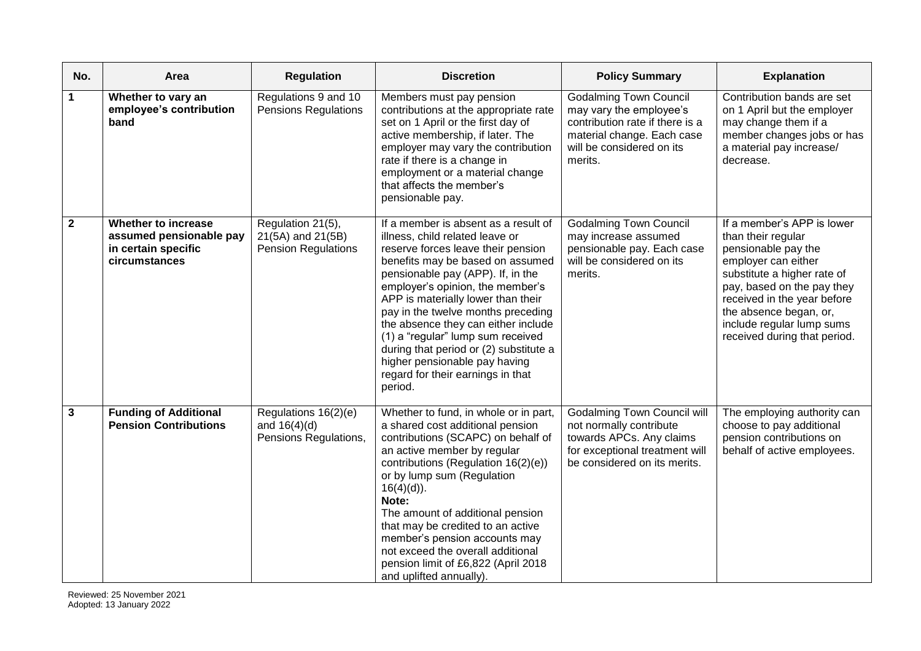| No.         | Area                                                                                   | <b>Regulation</b>                                                    | <b>Discretion</b>                                                                                                                                                                                                                                                                                                                                                                                                                                                                                             | <b>Policy Summary</b>                                                                                                                                             | <b>Explanation</b>                                                                                                                                                                                                                                                                |
|-------------|----------------------------------------------------------------------------------------|----------------------------------------------------------------------|---------------------------------------------------------------------------------------------------------------------------------------------------------------------------------------------------------------------------------------------------------------------------------------------------------------------------------------------------------------------------------------------------------------------------------------------------------------------------------------------------------------|-------------------------------------------------------------------------------------------------------------------------------------------------------------------|-----------------------------------------------------------------------------------------------------------------------------------------------------------------------------------------------------------------------------------------------------------------------------------|
| 1           | Whether to vary an<br>employee's contribution<br>band                                  | Regulations 9 and 10<br><b>Pensions Regulations</b>                  | Members must pay pension<br>contributions at the appropriate rate<br>set on 1 April or the first day of<br>active membership, if later. The<br>employer may vary the contribution<br>rate if there is a change in<br>employment or a material change<br>that affects the member's<br>pensionable pay.                                                                                                                                                                                                         | <b>Godalming Town Council</b><br>may vary the employee's<br>contribution rate if there is a<br>material change. Each case<br>will be considered on its<br>merits. | Contribution bands are set<br>on 1 April but the employer<br>may change them if a<br>member changes jobs or has<br>a material pay increase/<br>decrease.                                                                                                                          |
| $\mathbf 2$ | Whether to increase<br>assumed pensionable pay<br>in certain specific<br>circumstances | Regulation 21(5),<br>21(5A) and 21(5B)<br><b>Pension Regulations</b> | If a member is absent as a result of<br>illness, child related leave or<br>reserve forces leave their pension<br>benefits may be based on assumed<br>pensionable pay (APP). If, in the<br>employer's opinion, the member's<br>APP is materially lower than their<br>pay in the twelve months preceding<br>the absence they can either include<br>(1) a "regular" lump sum received<br>during that period or (2) substitute a<br>higher pensionable pay having<br>regard for their earnings in that<br>period. | <b>Godalming Town Council</b><br>may increase assumed<br>pensionable pay. Each case<br>will be considered on its<br>merits.                                       | If a member's APP is lower<br>than their regular<br>pensionable pay the<br>employer can either<br>substitute a higher rate of<br>pay, based on the pay they<br>received in the year before<br>the absence began, or,<br>include regular lump sums<br>received during that period. |
| 3           | <b>Funding of Additional</b><br><b>Pension Contributions</b>                           | Regulations $16(2)(e)$<br>and $16(4)(d)$<br>Pensions Regulations,    | Whether to fund, in whole or in part,<br>a shared cost additional pension<br>contributions (SCAPC) on behalf of<br>an active member by regular<br>contributions (Regulation 16(2)(e))<br>or by lump sum (Regulation<br>$16(4)(d)$ ).<br>Note:<br>The amount of additional pension<br>that may be credited to an active<br>member's pension accounts may<br>not exceed the overall additional<br>pension limit of £6,822 (April 2018<br>and uplifted annually).                                                | <b>Godalming Town Council will</b><br>not normally contribute<br>towards APCs. Any claims<br>for exceptional treatment will<br>be considered on its merits.       | The employing authority can<br>choose to pay additional<br>pension contributions on<br>behalf of active employees.                                                                                                                                                                |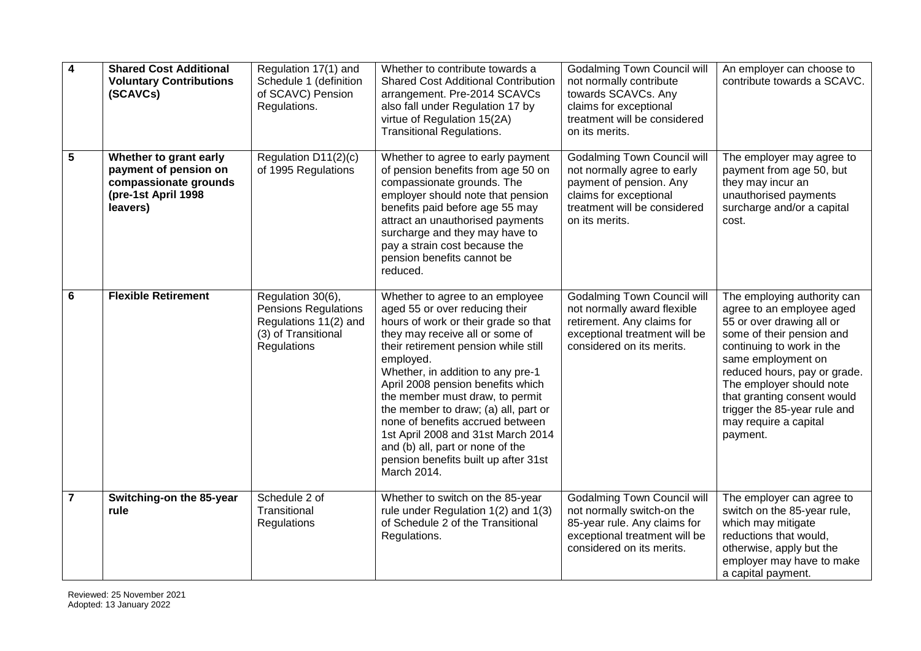| $\overline{\mathbf{4}}$ | <b>Shared Cost Additional</b><br><b>Voluntary Contributions</b><br>(SCAVCs)                                 | Regulation 17(1) and<br>Schedule 1 (definition<br>of SCAVC) Pension<br>Regulations.                             | Whether to contribute towards a<br><b>Shared Cost Additional Contribution</b><br>arrangement. Pre-2014 SCAVCs<br>also fall under Regulation 17 by<br>virtue of Regulation 15(2A)<br><b>Transitional Regulations.</b>                                                                                                                                                                                                                                                                                                        | <b>Godalming Town Council will</b><br>not normally contribute<br>towards SCAVCs. Any<br>claims for exceptional<br>treatment will be considered<br>on its merits.         | An employer can choose to<br>contribute towards a SCAVC.                                                                                                                                                                                                                                                                              |
|-------------------------|-------------------------------------------------------------------------------------------------------------|-----------------------------------------------------------------------------------------------------------------|-----------------------------------------------------------------------------------------------------------------------------------------------------------------------------------------------------------------------------------------------------------------------------------------------------------------------------------------------------------------------------------------------------------------------------------------------------------------------------------------------------------------------------|--------------------------------------------------------------------------------------------------------------------------------------------------------------------------|---------------------------------------------------------------------------------------------------------------------------------------------------------------------------------------------------------------------------------------------------------------------------------------------------------------------------------------|
| 5                       | Whether to grant early<br>payment of pension on<br>compassionate grounds<br>(pre-1st April 1998<br>leavers) | Regulation D11(2)(c)<br>of 1995 Regulations                                                                     | Whether to agree to early payment<br>of pension benefits from age 50 on<br>compassionate grounds. The<br>employer should note that pension<br>benefits paid before age 55 may<br>attract an unauthorised payments<br>surcharge and they may have to<br>pay a strain cost because the<br>pension benefits cannot be<br>reduced.                                                                                                                                                                                              | <b>Godalming Town Council will</b><br>not normally agree to early<br>payment of pension. Any<br>claims for exceptional<br>treatment will be considered<br>on its merits. | The employer may agree to<br>payment from age 50, but<br>they may incur an<br>unauthorised payments<br>surcharge and/or a capital<br>cost.                                                                                                                                                                                            |
| 6                       | <b>Flexible Retirement</b>                                                                                  | Regulation 30(6),<br><b>Pensions Regulations</b><br>Regulations 11(2) and<br>(3) of Transitional<br>Regulations | Whether to agree to an employee<br>aged 55 or over reducing their<br>hours of work or their grade so that<br>they may receive all or some of<br>their retirement pension while still<br>employed.<br>Whether, in addition to any pre-1<br>April 2008 pension benefits which<br>the member must draw, to permit<br>the member to draw; (a) all, part or<br>none of benefits accrued between<br>1st April 2008 and 31st March 2014<br>and (b) all, part or none of the<br>pension benefits built up after 31st<br>March 2014. | <b>Godalming Town Council will</b><br>not normally award flexible<br>retirement. Any claims for<br>exceptional treatment will be<br>considered on its merits.            | The employing authority can<br>agree to an employee aged<br>55 or over drawing all or<br>some of their pension and<br>continuing to work in the<br>same employment on<br>reduced hours, pay or grade.<br>The employer should note<br>that granting consent would<br>trigger the 85-year rule and<br>may require a capital<br>payment. |
| $\overline{7}$          | Switching-on the 85-year<br>rule                                                                            | Schedule 2 of<br>Transitional<br>Regulations                                                                    | Whether to switch on the 85-year<br>rule under Regulation 1(2) and 1(3)<br>of Schedule 2 of the Transitional<br>Regulations.                                                                                                                                                                                                                                                                                                                                                                                                | <b>Godalming Town Council will</b><br>not normally switch-on the<br>85-year rule. Any claims for<br>exceptional treatment will be<br>considered on its merits.           | The employer can agree to<br>switch on the 85-year rule,<br>which may mitigate<br>reductions that would,<br>otherwise, apply but the<br>employer may have to make<br>a capital payment.                                                                                                                                               |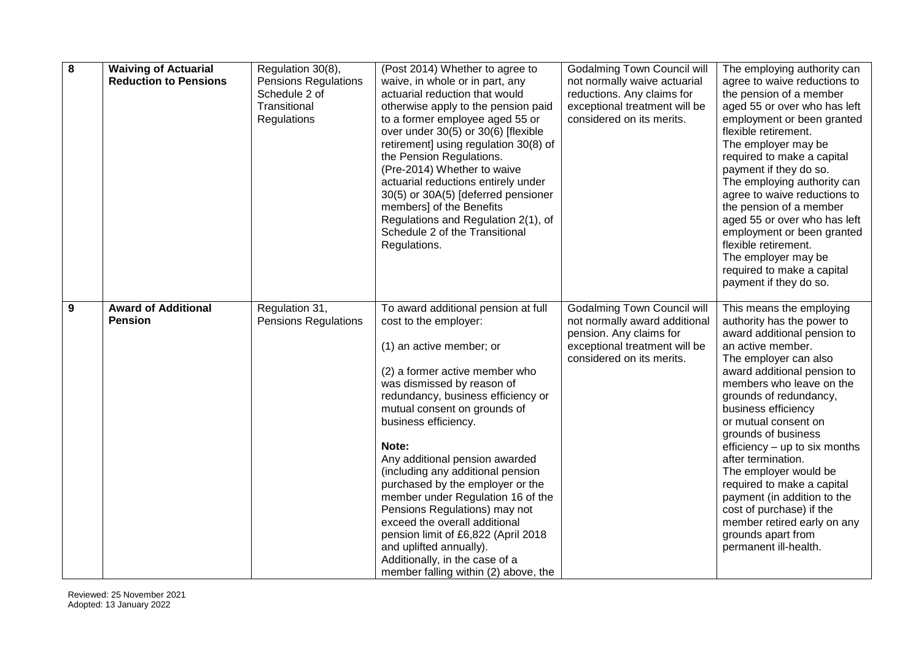| $\overline{\mathbf{8}}$ | <b>Waiving of Actuarial</b><br><b>Reduction to Pensions</b> | Regulation 30(8),<br><b>Pensions Regulations</b><br>Schedule 2 of<br>Transitional<br>Regulations | (Post 2014) Whether to agree to<br>waive, in whole or in part, any<br>actuarial reduction that would<br>otherwise apply to the pension paid<br>to a former employee aged 55 or<br>over under 30(5) or 30(6) [flexible<br>retirement] using regulation 30(8) of<br>the Pension Regulations.<br>(Pre-2014) Whether to waive<br>actuarial reductions entirely under<br>30(5) or 30A(5) [deferred pensioner<br>members] of the Benefits<br>Regulations and Regulation 2(1), of<br>Schedule 2 of the Transitional<br>Regulations.                                                                                                  | <b>Godalming Town Council will</b><br>not normally waive actuarial<br>reductions. Any claims for<br>exceptional treatment will be<br>considered on its merits. | The employing authority can<br>agree to waive reductions to<br>the pension of a member<br>aged 55 or over who has left<br>employment or been granted<br>flexible retirement.<br>The employer may be<br>required to make a capital<br>payment if they do so.<br>The employing authority can<br>agree to waive reductions to<br>the pension of a member<br>aged 55 or over who has left<br>employment or been granted<br>flexible retirement.<br>The employer may be<br>required to make a capital<br>payment if they do so.                            |
|-------------------------|-------------------------------------------------------------|--------------------------------------------------------------------------------------------------|-------------------------------------------------------------------------------------------------------------------------------------------------------------------------------------------------------------------------------------------------------------------------------------------------------------------------------------------------------------------------------------------------------------------------------------------------------------------------------------------------------------------------------------------------------------------------------------------------------------------------------|----------------------------------------------------------------------------------------------------------------------------------------------------------------|-------------------------------------------------------------------------------------------------------------------------------------------------------------------------------------------------------------------------------------------------------------------------------------------------------------------------------------------------------------------------------------------------------------------------------------------------------------------------------------------------------------------------------------------------------|
| 9                       | <b>Award of Additional</b><br><b>Pension</b>                | Regulation 31,<br><b>Pensions Regulations</b>                                                    | To award additional pension at full<br>cost to the employer:<br>(1) an active member; or<br>(2) a former active member who<br>was dismissed by reason of<br>redundancy, business efficiency or<br>mutual consent on grounds of<br>business efficiency.<br>Note:<br>Any additional pension awarded<br>(including any additional pension<br>purchased by the employer or the<br>member under Regulation 16 of the<br>Pensions Regulations) may not<br>exceed the overall additional<br>pension limit of £6,822 (April 2018<br>and uplifted annually).<br>Additionally, in the case of a<br>member falling within (2) above, the | <b>Godalming Town Council will</b><br>not normally award additional<br>pension. Any claims for<br>exceptional treatment will be<br>considered on its merits.   | This means the employing<br>authority has the power to<br>award additional pension to<br>an active member.<br>The employer can also<br>award additional pension to<br>members who leave on the<br>grounds of redundancy,<br>business efficiency<br>or mutual consent on<br>grounds of business<br>efficiency - up to six months<br>after termination.<br>The employer would be<br>required to make a capital<br>payment (in addition to the<br>cost of purchase) if the<br>member retired early on any<br>grounds apart from<br>permanent ill-health. |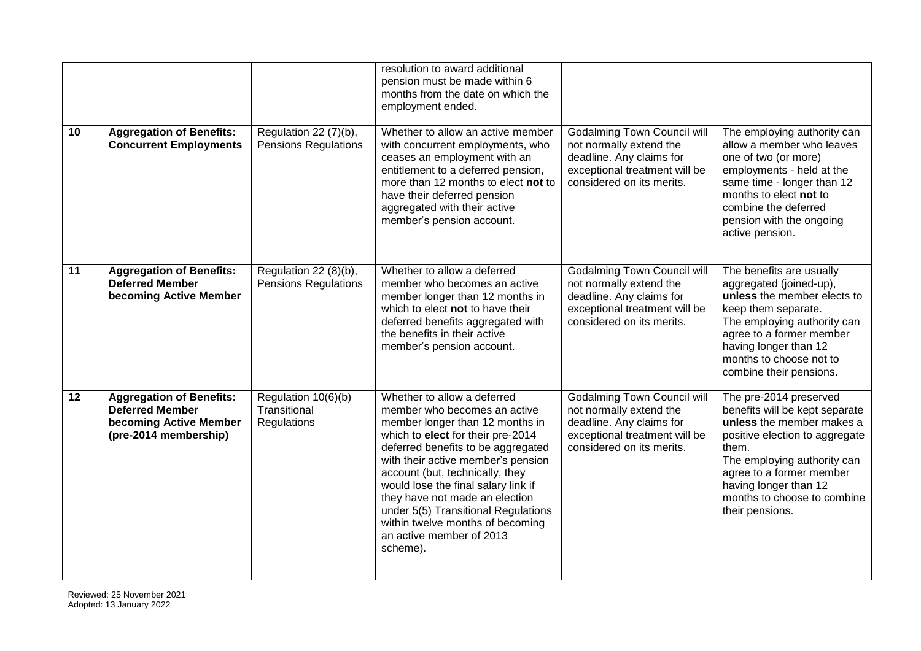| 10 | <b>Aggregation of Benefits:</b><br><b>Concurrent Employments</b>                                             | Regulation 22 (7)(b),<br><b>Pensions Regulations</b> | resolution to award additional<br>pension must be made within 6<br>months from the date on which the<br>employment ended.<br>Whether to allow an active member<br>with concurrent employments, who<br>ceases an employment with an<br>entitlement to a deferred pension,<br>more than 12 months to elect not to<br>have their deferred pension<br>aggregated with their active<br>member's pension account.                                    | <b>Godalming Town Council will</b><br>not normally extend the<br>deadline. Any claims for<br>exceptional treatment will be<br>considered on its merits. | The employing authority can<br>allow a member who leaves<br>one of two (or more)<br>employments - held at the<br>same time - longer than 12<br>months to elect not to<br>combine the deferred<br>pension with the ongoing<br>active pension.                           |
|----|--------------------------------------------------------------------------------------------------------------|------------------------------------------------------|------------------------------------------------------------------------------------------------------------------------------------------------------------------------------------------------------------------------------------------------------------------------------------------------------------------------------------------------------------------------------------------------------------------------------------------------|---------------------------------------------------------------------------------------------------------------------------------------------------------|------------------------------------------------------------------------------------------------------------------------------------------------------------------------------------------------------------------------------------------------------------------------|
| 11 | <b>Aggregation of Benefits:</b><br><b>Deferred Member</b><br>becoming Active Member                          | Regulation 22 (8)(b),<br><b>Pensions Regulations</b> | Whether to allow a deferred<br>member who becomes an active<br>member longer than 12 months in<br>which to elect not to have their<br>deferred benefits aggregated with<br>the benefits in their active<br>member's pension account.                                                                                                                                                                                                           | <b>Godalming Town Council will</b><br>not normally extend the<br>deadline. Any claims for<br>exceptional treatment will be<br>considered on its merits. | The benefits are usually<br>aggregated (joined-up),<br>unless the member elects to<br>keep them separate.<br>The employing authority can<br>agree to a former member<br>having longer than 12<br>months to choose not to<br>combine their pensions.                    |
| 12 | <b>Aggregation of Benefits:</b><br><b>Deferred Member</b><br>becoming Active Member<br>(pre-2014 membership) | Regulation 10(6)(b)<br>Transitional<br>Regulations   | Whether to allow a deferred<br>member who becomes an active<br>member longer than 12 months in<br>which to elect for their pre-2014<br>deferred benefits to be aggregated<br>with their active member's pension<br>account (but, technically, they<br>would lose the final salary link if<br>they have not made an election<br>under 5(5) Transitional Regulations<br>within twelve months of becoming<br>an active member of 2013<br>scheme). | <b>Godalming Town Council will</b><br>not normally extend the<br>deadline. Any claims for<br>exceptional treatment will be<br>considered on its merits. | The pre-2014 preserved<br>benefits will be kept separate<br>unless the member makes a<br>positive election to aggregate<br>them.<br>The employing authority can<br>agree to a former member<br>having longer than 12<br>months to choose to combine<br>their pensions. |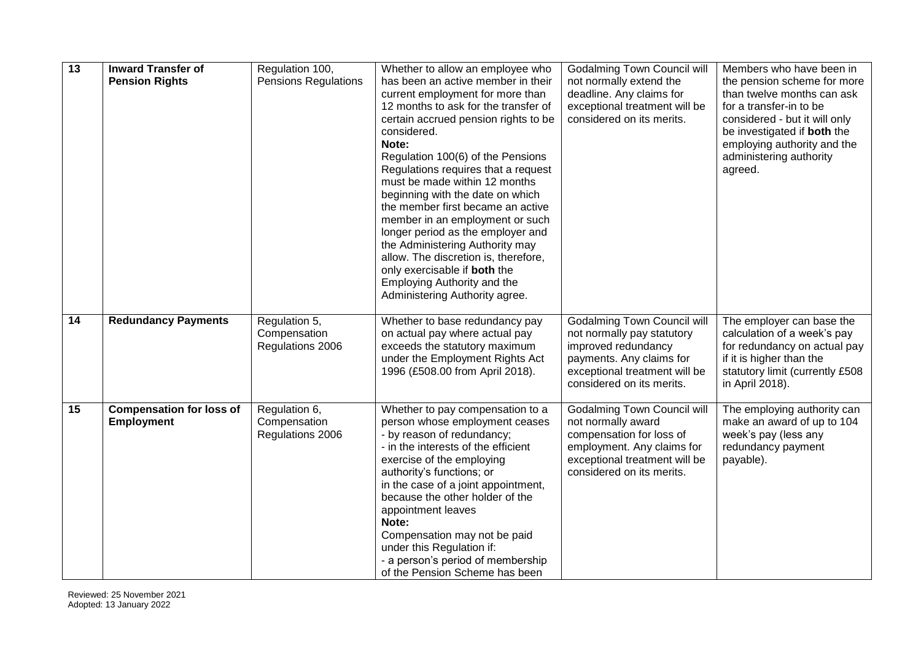| $\overline{13}$ | <b>Inward Transfer of</b><br><b>Pension Rights</b>   | Regulation 100,<br><b>Pensions Regulations</b>    | Whether to allow an employee who<br>has been an active member in their<br>current employment for more than<br>12 months to ask for the transfer of<br>certain accrued pension rights to be<br>considered.<br>Note:<br>Regulation 100(6) of the Pensions<br>Regulations requires that a request<br>must be made within 12 months                                                                                                                | <b>Godalming Town Council will</b><br>not normally extend the<br>deadline. Any claims for<br>exceptional treatment will be<br>considered on its merits.                           | Members who have been in<br>the pension scheme for more<br>than twelve months can ask<br>for a transfer-in to be<br>considered - but it will only<br>be investigated if both the<br>employing authority and the<br>administering authority<br>agreed. |
|-----------------|------------------------------------------------------|---------------------------------------------------|------------------------------------------------------------------------------------------------------------------------------------------------------------------------------------------------------------------------------------------------------------------------------------------------------------------------------------------------------------------------------------------------------------------------------------------------|-----------------------------------------------------------------------------------------------------------------------------------------------------------------------------------|-------------------------------------------------------------------------------------------------------------------------------------------------------------------------------------------------------------------------------------------------------|
|                 |                                                      |                                                   | beginning with the date on which<br>the member first became an active<br>member in an employment or such<br>longer period as the employer and<br>the Administering Authority may<br>allow. The discretion is, therefore,<br>only exercisable if both the<br>Employing Authority and the<br>Administering Authority agree.                                                                                                                      |                                                                                                                                                                                   |                                                                                                                                                                                                                                                       |
| $\overline{14}$ | <b>Redundancy Payments</b>                           | Regulation 5,<br>Compensation<br>Regulations 2006 | Whether to base redundancy pay<br>on actual pay where actual pay<br>exceeds the statutory maximum<br>under the Employment Rights Act<br>1996 (£508.00 from April 2018).                                                                                                                                                                                                                                                                        | <b>Godalming Town Council will</b><br>not normally pay statutory<br>improved redundancy<br>payments. Any claims for<br>exceptional treatment will be<br>considered on its merits. | The employer can base the<br>calculation of a week's pay<br>for redundancy on actual pay<br>if it is higher than the<br>statutory limit (currently £508<br>in April 2018).                                                                            |
| 15              | <b>Compensation for loss of</b><br><b>Employment</b> | Regulation 6,<br>Compensation<br>Regulations 2006 | Whether to pay compensation to a<br>person whose employment ceases<br>- by reason of redundancy;<br>- in the interests of the efficient<br>exercise of the employing<br>authority's functions; or<br>in the case of a joint appointment,<br>because the other holder of the<br>appointment leaves<br>Note:<br>Compensation may not be paid<br>under this Regulation if:<br>- a person's period of membership<br>of the Pension Scheme has been | <b>Godalming Town Council will</b><br>not normally award<br>compensation for loss of<br>employment. Any claims for<br>exceptional treatment will be<br>considered on its merits.  | The employing authority can<br>make an award of up to 104<br>week's pay (less any<br>redundancy payment<br>payable).                                                                                                                                  |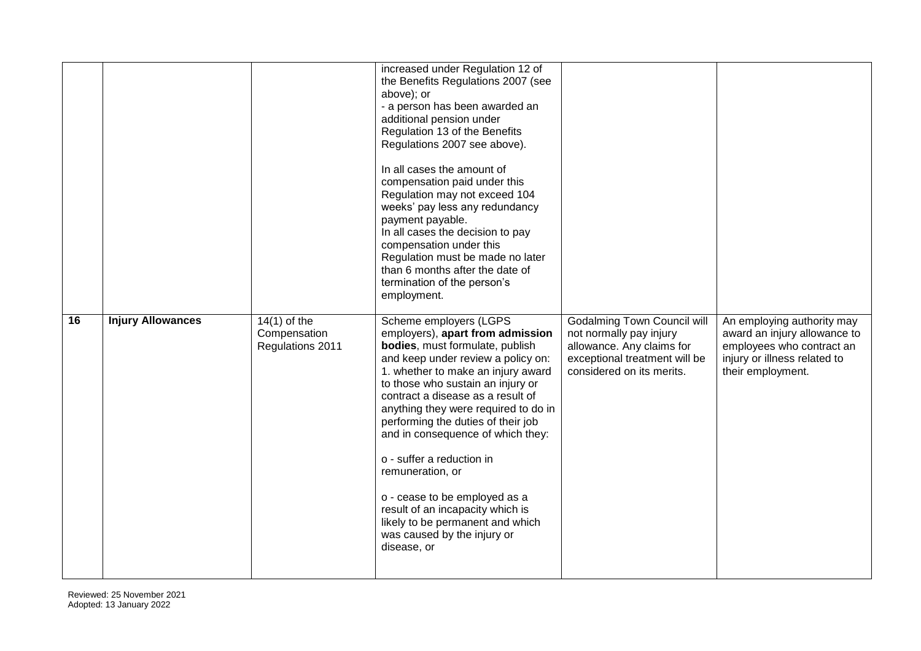|    |                          |                                                    | increased under Regulation 12 of<br>the Benefits Regulations 2007 (see<br>above); or<br>- a person has been awarded an<br>additional pension under<br>Regulation 13 of the Benefits<br>Regulations 2007 see above).<br>In all cases the amount of<br>compensation paid under this<br>Regulation may not exceed 104<br>weeks' pay less any redundancy<br>payment payable.<br>In all cases the decision to pay<br>compensation under this<br>Regulation must be made no later<br>than 6 months after the date of<br>termination of the person's<br>employment.                   |                                                                                                                                                          |                                                                                                                                              |
|----|--------------------------|----------------------------------------------------|--------------------------------------------------------------------------------------------------------------------------------------------------------------------------------------------------------------------------------------------------------------------------------------------------------------------------------------------------------------------------------------------------------------------------------------------------------------------------------------------------------------------------------------------------------------------------------|----------------------------------------------------------------------------------------------------------------------------------------------------------|----------------------------------------------------------------------------------------------------------------------------------------------|
| 16 | <b>Injury Allowances</b> | $14(1)$ of the<br>Compensation<br>Regulations 2011 | Scheme employers (LGPS<br>employers), apart from admission<br>bodies, must formulate, publish<br>and keep under review a policy on:<br>1. whether to make an injury award<br>to those who sustain an injury or<br>contract a disease as a result of<br>anything they were required to do in<br>performing the duties of their job<br>and in consequence of which they:<br>o - suffer a reduction in<br>remuneration, or<br>o - cease to be employed as a<br>result of an incapacity which is<br>likely to be permanent and which<br>was caused by the injury or<br>disease, or | <b>Godalming Town Council will</b><br>not normally pay injury<br>allowance. Any claims for<br>exceptional treatment will be<br>considered on its merits. | An employing authority may<br>award an injury allowance to<br>employees who contract an<br>injury or illness related to<br>their employment. |